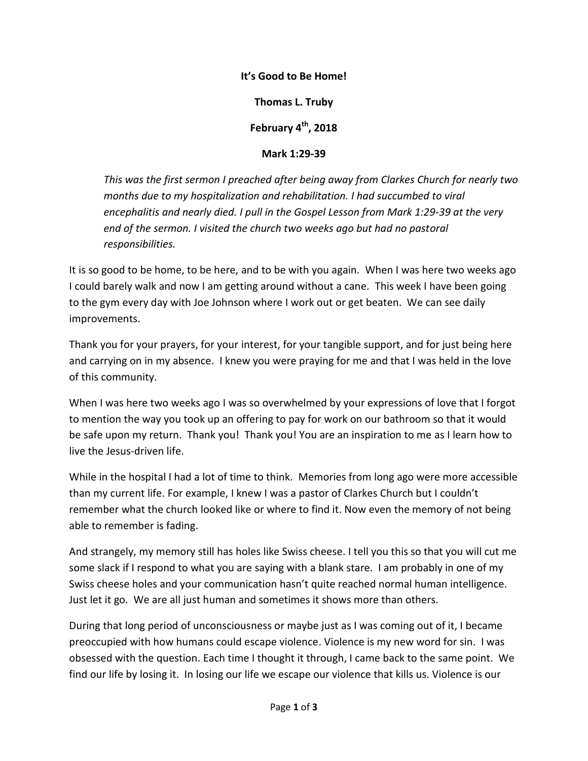## **It's Good to Be Home!**

**Thomas L. Truby**

**February 4th , 2018**

**Mark 1:29-39**

*This was the first sermon I preached after being away from Clarkes Church for nearly two months due to my hospitalization and rehabilitation. I had succumbed to viral encephalitis and nearly died. I pull in the Gospel Lesson from Mark 1:29-39 at the very end of the sermon. I visited the church two weeks ago but had no pastoral responsibilities.*

It is so good to be home, to be here, and to be with you again. When I was here two weeks ago I could barely walk and now I am getting around without a cane. This week I have been going to the gym every day with Joe Johnson where I work out or get beaten. We can see daily improvements.

Thank you for your prayers, for your interest, for your tangible support, and for just being here and carrying on in my absence. I knew you were praying for me and that I was held in the love of this community.

When I was here two weeks ago I was so overwhelmed by your expressions of love that I forgot to mention the way you took up an offering to pay for work on our bathroom so that it would be safe upon my return. Thank you! Thank you! You are an inspiration to me as I learn how to live the Jesus-driven life.

While in the hospital I had a lot of time to think. Memories from long ago were more accessible than my current life. For example, I knew I was a pastor of Clarkes Church but I couldn't remember what the church looked like or where to find it. Now even the memory of not being able to remember is fading.

And strangely, my memory still has holes like Swiss cheese. I tell you this so that you will cut me some slack if I respond to what you are saying with a blank stare. I am probably in one of my Swiss cheese holes and your communication hasn't quite reached normal human intelligence. Just let it go. We are all just human and sometimes it shows more than others.

During that long period of unconsciousness or maybe just as I was coming out of it, I became preoccupied with how humans could escape violence. Violence is my new word for sin. I was obsessed with the question. Each time I thought it through, I came back to the same point. We find our life by losing it. In losing our life we escape our violence that kills us. Violence is our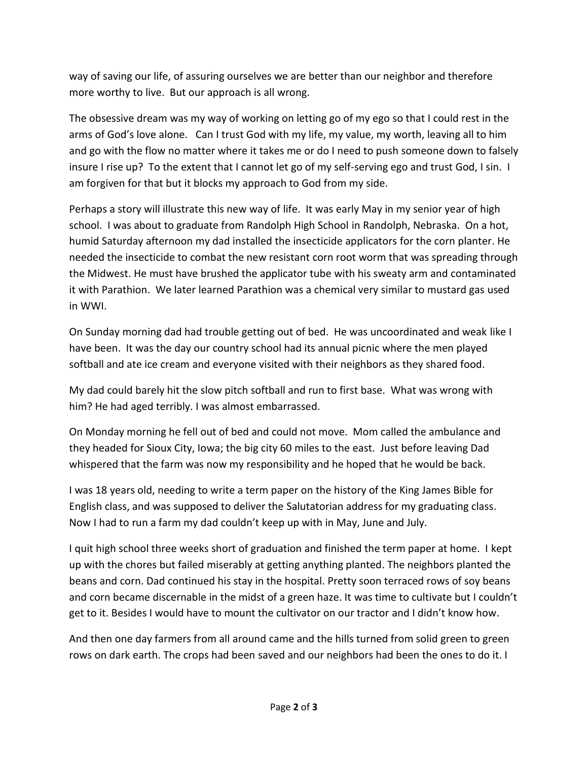way of saving our life, of assuring ourselves we are better than our neighbor and therefore more worthy to live. But our approach is all wrong.

The obsessive dream was my way of working on letting go of my ego so that I could rest in the arms of God's love alone. Can I trust God with my life, my value, my worth, leaving all to him and go with the flow no matter where it takes me or do I need to push someone down to falsely insure I rise up? To the extent that I cannot let go of my self-serving ego and trust God, I sin. I am forgiven for that but it blocks my approach to God from my side.

Perhaps a story will illustrate this new way of life. It was early May in my senior year of high school. I was about to graduate from Randolph High School in Randolph, Nebraska. On a hot, humid Saturday afternoon my dad installed the insecticide applicators for the corn planter. He needed the insecticide to combat the new resistant corn root worm that was spreading through the Midwest. He must have brushed the applicator tube with his sweaty arm and contaminated it with Parathion. We later learned Parathion was a chemical very similar to mustard gas used in WWI.

On Sunday morning dad had trouble getting out of bed. He was uncoordinated and weak like I have been. It was the day our country school had its annual picnic where the men played softball and ate ice cream and everyone visited with their neighbors as they shared food.

My dad could barely hit the slow pitch softball and run to first base. What was wrong with him? He had aged terribly. I was almost embarrassed.

On Monday morning he fell out of bed and could not move. Mom called the ambulance and they headed for Sioux City, Iowa; the big city 60 miles to the east. Just before leaving Dad whispered that the farm was now my responsibility and he hoped that he would be back.

I was 18 years old, needing to write a term paper on the history of the King James Bible for English class, and was supposed to deliver the Salutatorian address for my graduating class. Now I had to run a farm my dad couldn't keep up with in May, June and July.

I quit high school three weeks short of graduation and finished the term paper at home. I kept up with the chores but failed miserably at getting anything planted. The neighbors planted the beans and corn. Dad continued his stay in the hospital. Pretty soon terraced rows of soy beans and corn became discernable in the midst of a green haze. It was time to cultivate but I couldn't get to it. Besides I would have to mount the cultivator on our tractor and I didn't know how.

And then one day farmers from all around came and the hills turned from solid green to green rows on dark earth. The crops had been saved and our neighbors had been the ones to do it. I